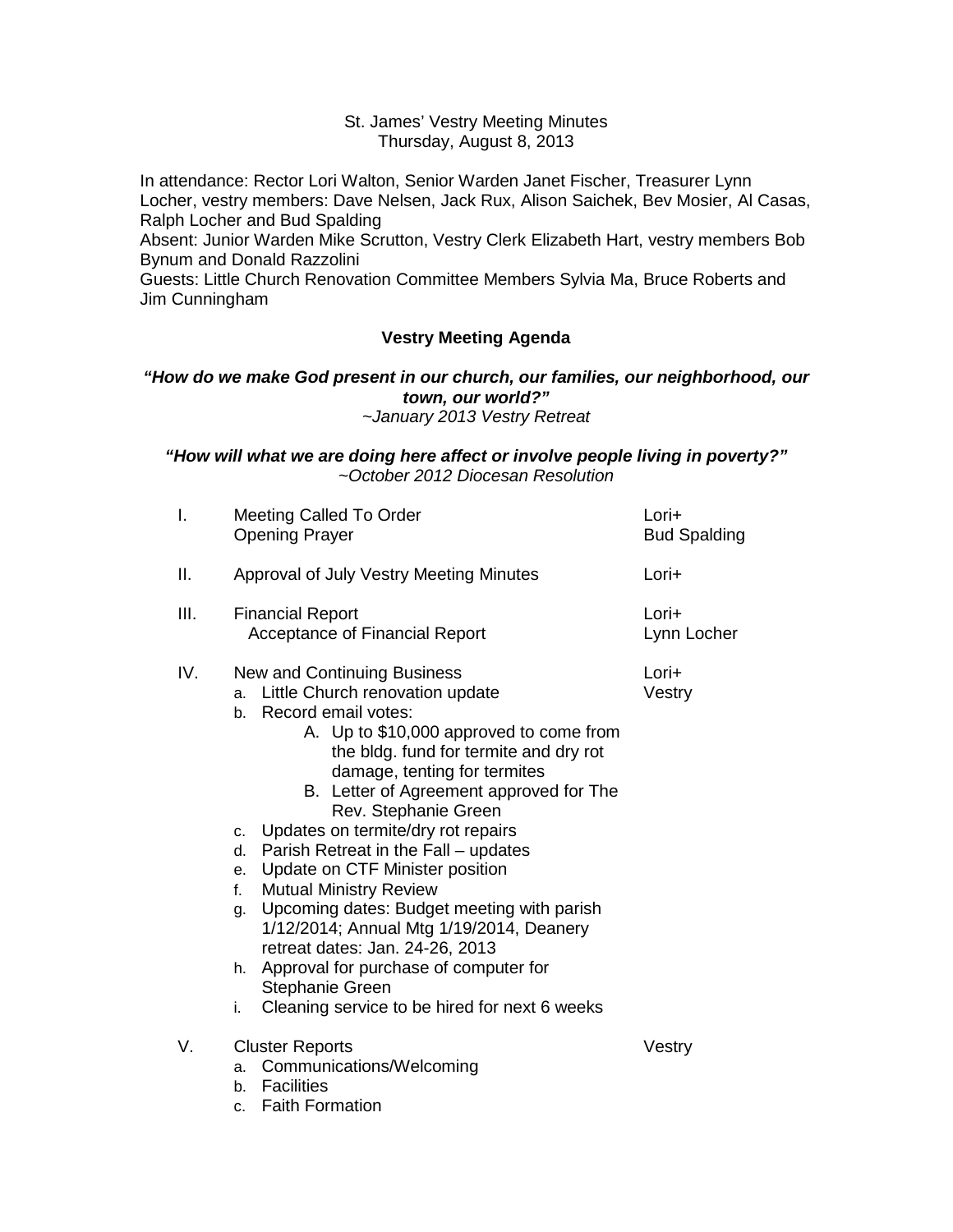### St. James' Vestry Meeting Minutes Thursday, August 8, 2013

In attendance: Rector Lori Walton, Senior Warden Janet Fischer, Treasurer Lynn Locher, vestry members: Dave Nelsen, Jack Rux, Alison Saichek, Bev Mosier, Al Casas, Ralph Locher and Bud Spalding

Absent: Junior Warden Mike Scrutton, Vestry Clerk Elizabeth Hart, vestry members Bob Bynum and Donald Razzolini

Guests: Little Church Renovation Committee Members Sylvia Ma, Bruce Roberts and Jim Cunningham

# **Vestry Meeting Agenda**

### *"How do we make God present in our church, our families, our neighborhood, our town, our world?" ~January 2013 Vestry Retreat*

### *"How will what we are doing here affect or involve people living in poverty?" ~October 2012 Diocesan Resolution*

| I.   | Meeting Called To Order<br><b>Opening Prayer</b>                                                                                                                                                                                                                                                                                                                                                                                                                                                                                                                                                                                                                                                                                        | Lori+<br><b>Bud Spalding</b> |
|------|-----------------------------------------------------------------------------------------------------------------------------------------------------------------------------------------------------------------------------------------------------------------------------------------------------------------------------------------------------------------------------------------------------------------------------------------------------------------------------------------------------------------------------------------------------------------------------------------------------------------------------------------------------------------------------------------------------------------------------------------|------------------------------|
| ΙΙ.  | Approval of July Vestry Meeting Minutes                                                                                                                                                                                                                                                                                                                                                                                                                                                                                                                                                                                                                                                                                                 | Lori+                        |
| III. | <b>Financial Report</b><br>Acceptance of Financial Report                                                                                                                                                                                                                                                                                                                                                                                                                                                                                                                                                                                                                                                                               | Lori+<br>Lynn Locher         |
| IV.  | <b>New and Continuing Business</b><br>a. Little Church renovation update<br>Record email votes:<br>b.<br>A. Up to \$10,000 approved to come from<br>the bldg. fund for termite and dry rot<br>damage, tenting for termites<br>B. Letter of Agreement approved for The<br>Rev. Stephanie Green<br>Updates on termite/dry rot repairs<br>c.<br>Parish Retreat in the Fall - updates<br>d.<br>Update on CTF Minister position<br>e.<br><b>Mutual Ministry Review</b><br>f.<br>g. Upcoming dates: Budget meeting with parish<br>1/12/2014; Annual Mtg 1/19/2014, Deanery<br>retreat dates: Jan. 24-26, 2013<br>Approval for purchase of computer for<br>h.<br><b>Stephanie Green</b><br>Cleaning service to be hired for next 6 weeks<br>i. | Lori+<br>Vestry              |
| V.   | <b>Cluster Reports</b><br>Communications/Welcoming<br>a.<br><b>Facilities</b><br>b.<br><b>Faith Formation</b><br>c.                                                                                                                                                                                                                                                                                                                                                                                                                                                                                                                                                                                                                     | Vestry                       |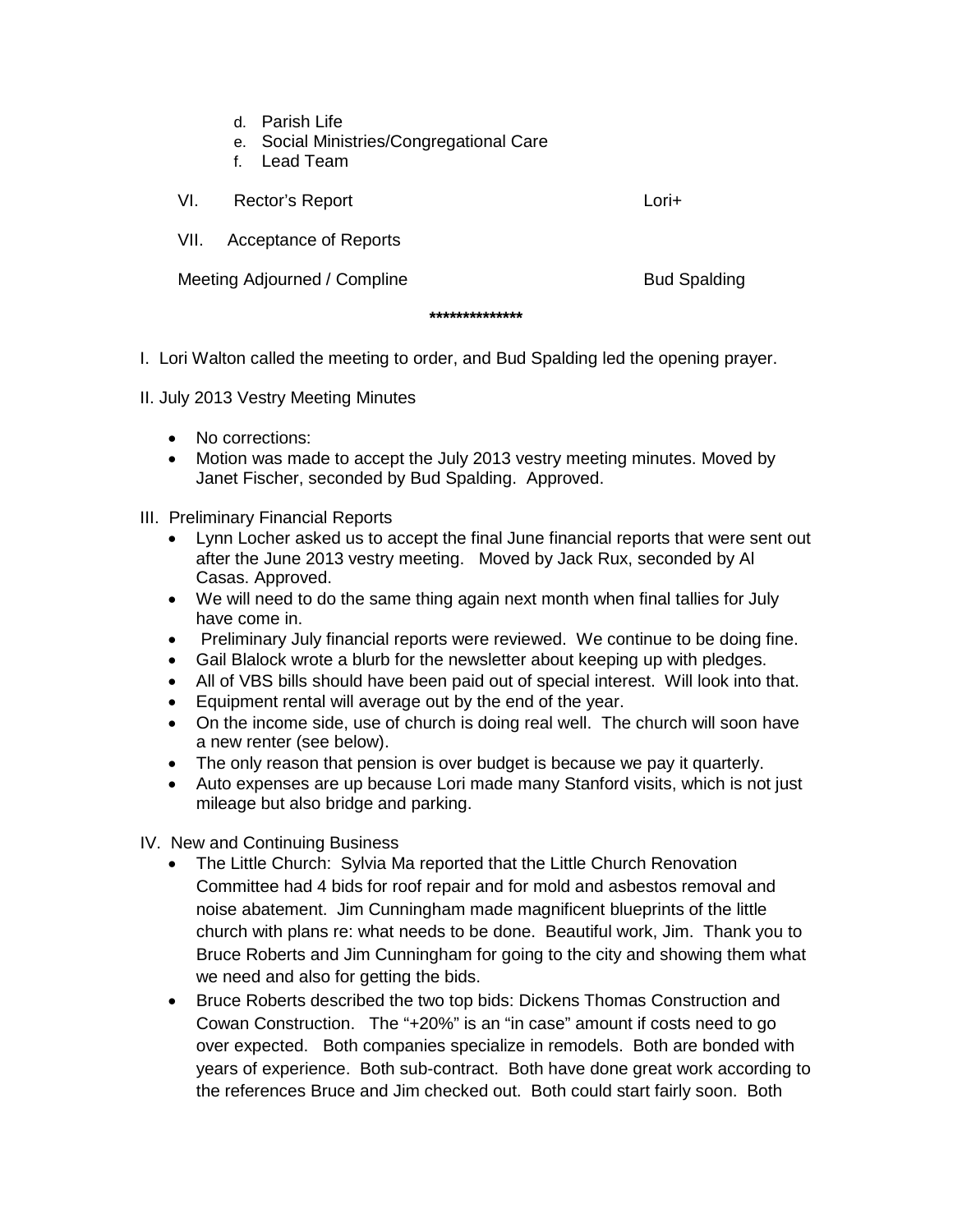- d. Parish Life
- e. Social Ministries/Congregational Care
- f. Lead Team

| VI.                          | Rector's Report              | Lori+               |
|------------------------------|------------------------------|---------------------|
| VII.                         | <b>Acceptance of Reports</b> |                     |
| Meeting Adjourned / Compline |                              | <b>Bud Spalding</b> |

**\*\*\*\*\*\*\*\*\*\*\*\*\*\***

I. Lori Walton called the meeting to order, and Bud Spalding led the opening prayer.

II. July 2013 Vestry Meeting Minutes

- No corrections:
- Motion was made to accept the July 2013 vestry meeting minutes. Moved by Janet Fischer, seconded by Bud Spalding. Approved.

III. Preliminary Financial Reports

- Lynn Locher asked us to accept the final June financial reports that were sent out after the June 2013 vestry meeting. Moved by Jack Rux, seconded by Al Casas. Approved.
- We will need to do the same thing again next month when final tallies for July have come in.
- Preliminary July financial reports were reviewed. We continue to be doing fine.
- Gail Blalock wrote a blurb for the newsletter about keeping up with pledges.
- All of VBS bills should have been paid out of special interest. Will look into that.
- Equipment rental will average out by the end of the year.
- On the income side, use of church is doing real well. The church will soon have a new renter (see below).
- The only reason that pension is over budget is because we pay it quarterly.
- Auto expenses are up because Lori made many Stanford visits, which is not just mileage but also bridge and parking.

IV. New and Continuing Business

- The Little Church: Sylvia Ma reported that the Little Church Renovation Committee had 4 bids for roof repair and for mold and asbestos removal and noise abatement. Jim Cunningham made magnificent blueprints of the little church with plans re: what needs to be done. Beautiful work, Jim. Thank you to Bruce Roberts and Jim Cunningham for going to the city and showing them what we need and also for getting the bids.
- Bruce Roberts described the two top bids: Dickens Thomas Construction and Cowan Construction. The "+20%" is an "in case" amount if costs need to go over expected. Both companies specialize in remodels. Both are bonded with years of experience. Both sub-contract. Both have done great work according to the references Bruce and Jim checked out. Both could start fairly soon. Both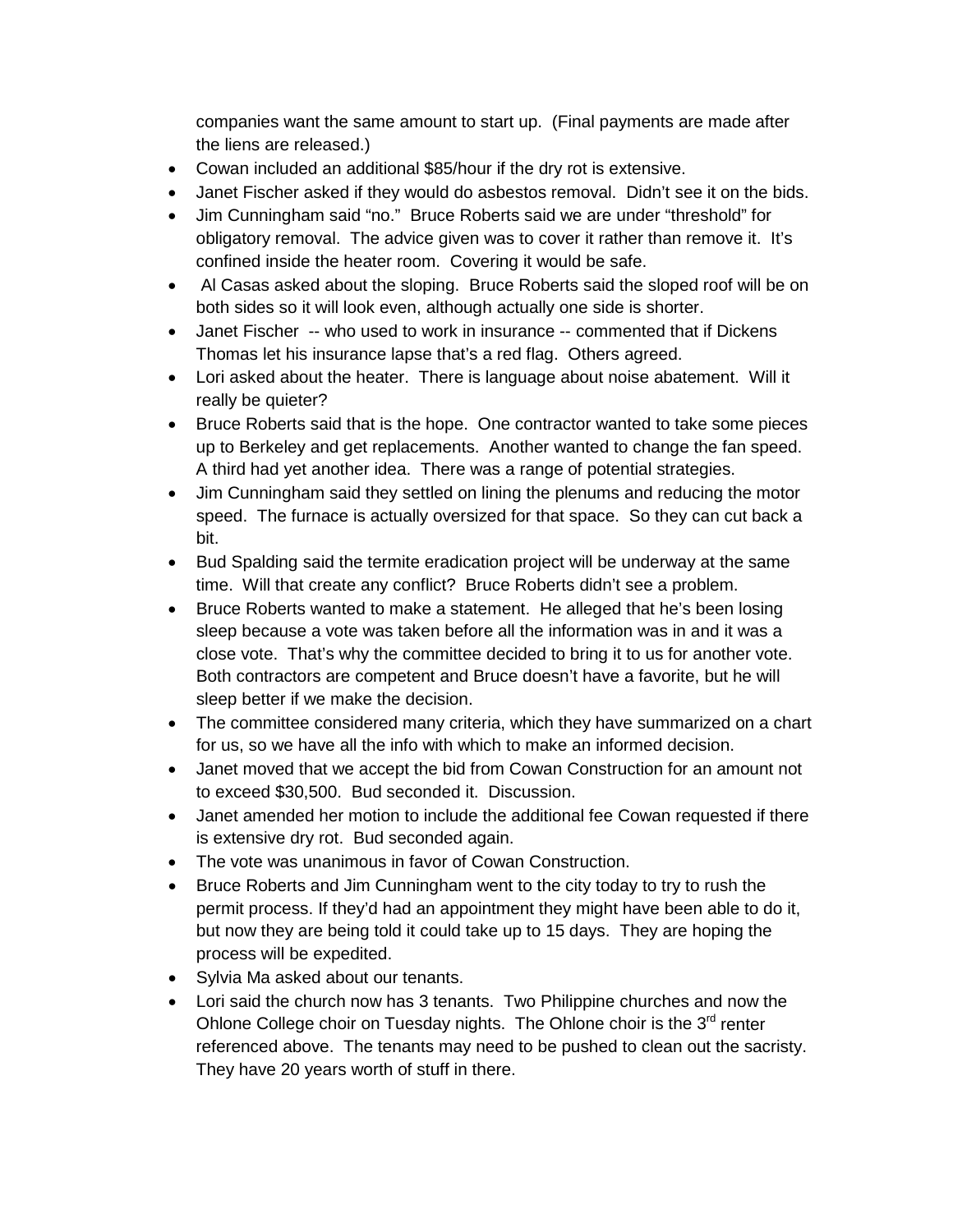companies want the same amount to start up. (Final payments are made after the liens are released.)

- Cowan included an additional \$85/hour if the dry rot is extensive.
- Janet Fischer asked if they would do asbestos removal. Didn't see it on the bids.
- Jim Cunningham said "no." Bruce Roberts said we are under "threshold" for obligatory removal. The advice given was to cover it rather than remove it. It's confined inside the heater room. Covering it would be safe.
- Al Casas asked about the sloping. Bruce Roberts said the sloped roof will be on both sides so it will look even, although actually one side is shorter.
- Janet Fischer -- who used to work in insurance -- commented that if Dickens Thomas let his insurance lapse that's a red flag. Others agreed.
- Lori asked about the heater. There is language about noise abatement. Will it really be quieter?
- Bruce Roberts said that is the hope. One contractor wanted to take some pieces up to Berkeley and get replacements. Another wanted to change the fan speed. A third had yet another idea. There was a range of potential strategies.
- Jim Cunningham said they settled on lining the plenums and reducing the motor speed. The furnace is actually oversized for that space. So they can cut back a bit.
- Bud Spalding said the termite eradication project will be underway at the same time. Will that create any conflict? Bruce Roberts didn't see a problem.
- Bruce Roberts wanted to make a statement. He alleged that he's been losing sleep because a vote was taken before all the information was in and it was a close vote. That's why the committee decided to bring it to us for another vote. Both contractors are competent and Bruce doesn't have a favorite, but he will sleep better if we make the decision.
- The committee considered many criteria, which they have summarized on a chart for us, so we have all the info with which to make an informed decision.
- Janet moved that we accept the bid from Cowan Construction for an amount not to exceed \$30,500. Bud seconded it. Discussion.
- Janet amended her motion to include the additional fee Cowan requested if there is extensive dry rot. Bud seconded again.
- The vote was unanimous in favor of Cowan Construction.
- Bruce Roberts and Jim Cunningham went to the city today to try to rush the permit process. If they'd had an appointment they might have been able to do it, but now they are being told it could take up to 15 days. They are hoping the process will be expedited.
- Sylvia Ma asked about our tenants.
- Lori said the church now has 3 tenants. Two Philippine churches and now the Ohlone College choir on Tuesday nights. The Ohlone choir is the  $3<sup>rd</sup>$  renter referenced above. The tenants may need to be pushed to clean out the sacristy. They have 20 years worth of stuff in there.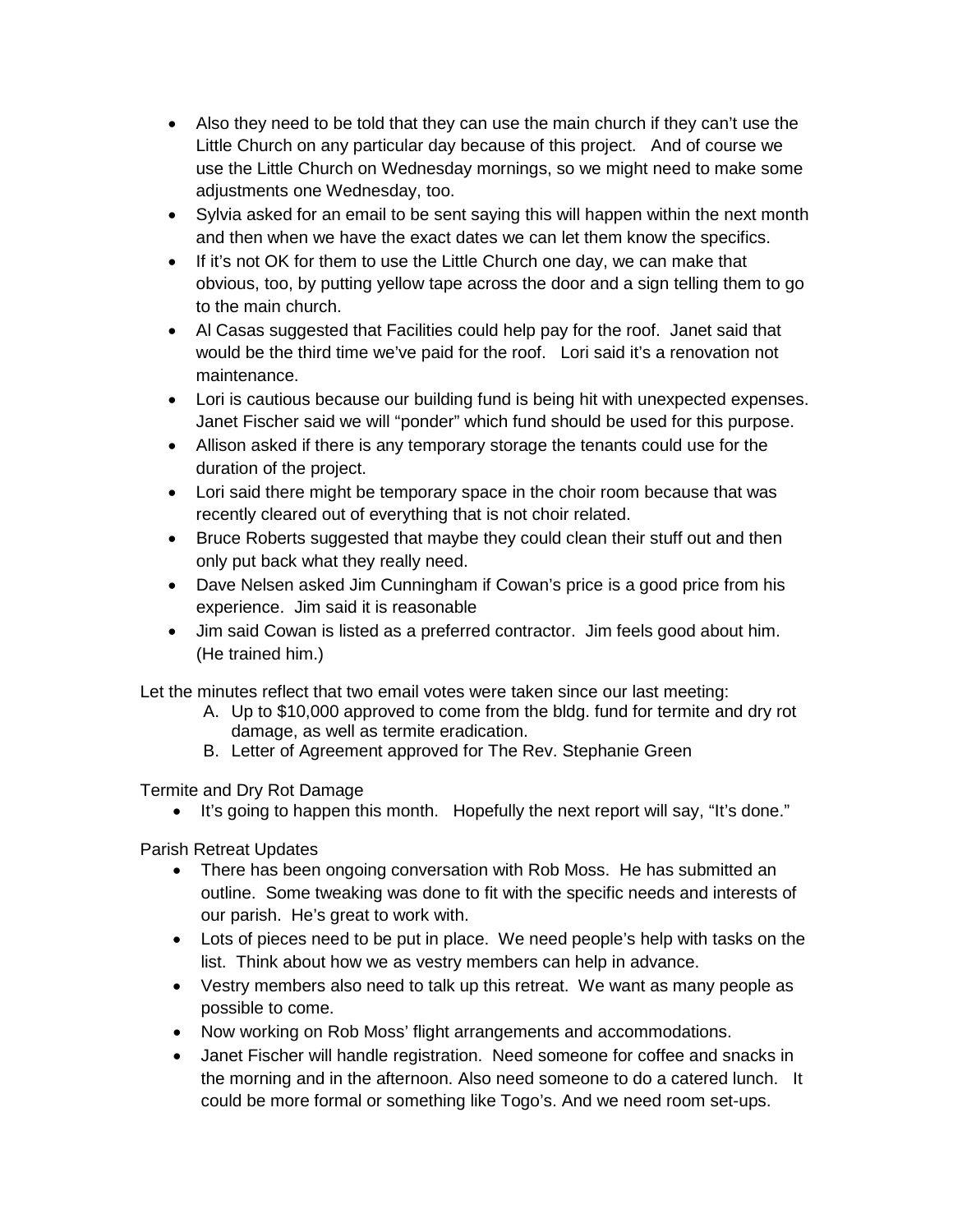- Also they need to be told that they can use the main church if they can't use the Little Church on any particular day because of this project. And of course we use the Little Church on Wednesday mornings, so we might need to make some adjustments one Wednesday, too.
- Sylvia asked for an email to be sent saying this will happen within the next month and then when we have the exact dates we can let them know the specifics.
- If it's not OK for them to use the Little Church one day, we can make that obvious, too, by putting yellow tape across the door and a sign telling them to go to the main church.
- Al Casas suggested that Facilities could help pay for the roof. Janet said that would be the third time we've paid for the roof. Lori said it's a renovation not maintenance.
- Lori is cautious because our building fund is being hit with unexpected expenses. Janet Fischer said we will "ponder" which fund should be used for this purpose.
- Allison asked if there is any temporary storage the tenants could use for the duration of the project.
- Lori said there might be temporary space in the choir room because that was recently cleared out of everything that is not choir related.
- Bruce Roberts suggested that maybe they could clean their stuff out and then only put back what they really need.
- Dave Nelsen asked Jim Cunningham if Cowan's price is a good price from his experience. Jim said it is reasonable
- Jim said Cowan is listed as a preferred contractor. Jim feels good about him. (He trained him.)

Let the minutes reflect that two email votes were taken since our last meeting:

- A. Up to \$10,000 approved to come from the bldg. fund for termite and dry rot damage, as well as termite eradication.
- B. Letter of Agreement approved for The Rev. Stephanie Green

Termite and Dry Rot Damage

• It's going to happen this month. Hopefully the next report will say, "It's done."

Parish Retreat Updates

- There has been ongoing conversation with Rob Moss. He has submitted an outline. Some tweaking was done to fit with the specific needs and interests of our parish. He's great to work with.
- Lots of pieces need to be put in place. We need people's help with tasks on the list. Think about how we as vestry members can help in advance.
- Vestry members also need to talk up this retreat. We want as many people as possible to come.
- Now working on Rob Moss' flight arrangements and accommodations.
- Janet Fischer will handle registration. Need someone for coffee and snacks in the morning and in the afternoon. Also need someone to do a catered lunch. It could be more formal or something like Togo's. And we need room set-ups.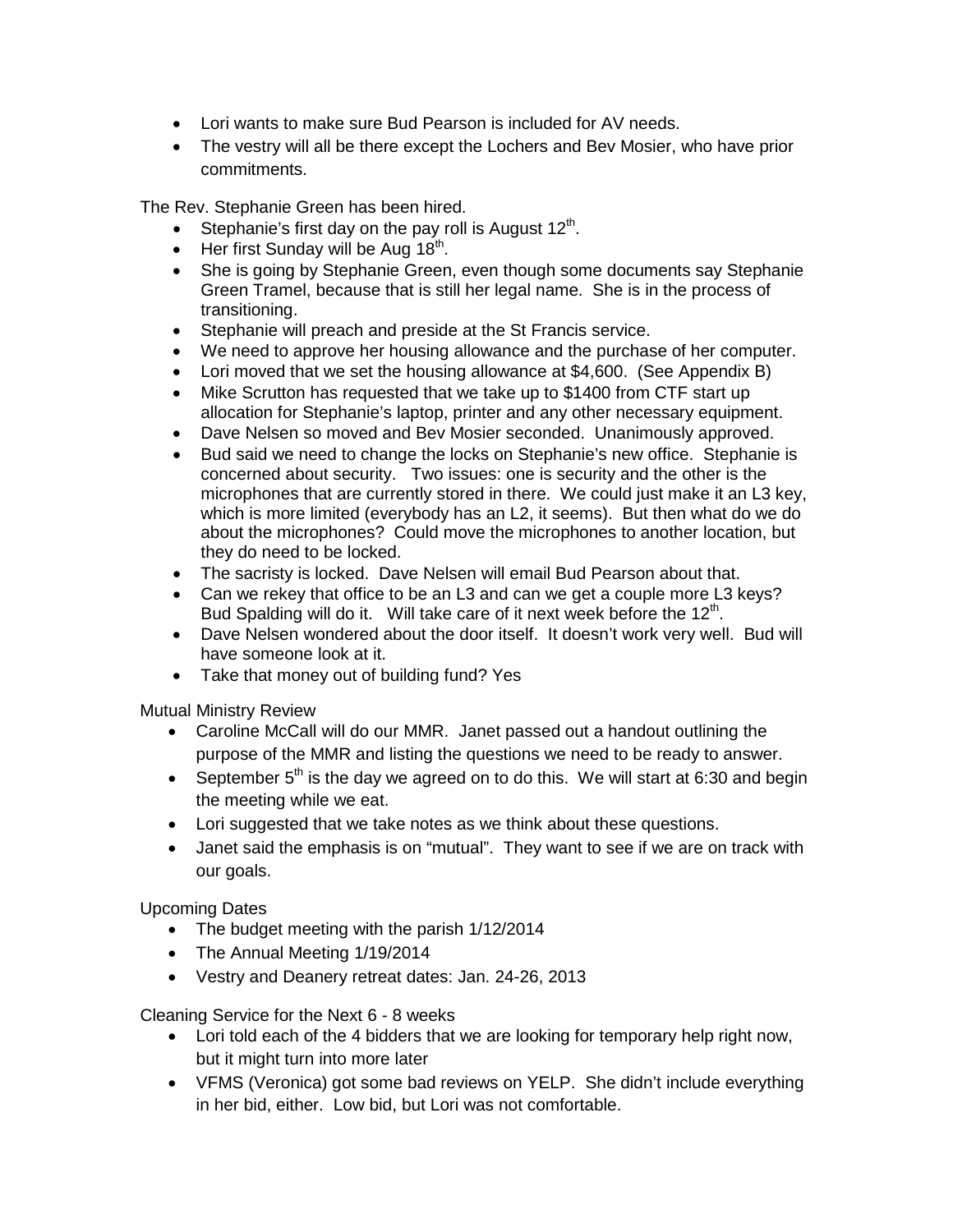- Lori wants to make sure Bud Pearson is included for AV needs.
- The vestry will all be there except the Lochers and Bev Mosier, who have prior commitments.

The Rev. Stephanie Green has been hired.

- Stephanie's first day on the pay roll is August  $12<sup>th</sup>$ .
- Her first Sunday will be Aug  $18<sup>th</sup>$ .
- She is going by Stephanie Green, even though some documents say Stephanie Green Tramel, because that is still her legal name. She is in the process of transitioning.
- Stephanie will preach and preside at the St Francis service.
- We need to approve her housing allowance and the purchase of her computer.
- Lori moved that we set the housing allowance at \$4,600. (See Appendix B)
- Mike Scrutton has requested that we take up to \$1400 from CTF start up allocation for Stephanie's laptop, printer and any other necessary equipment.
- Dave Nelsen so moved and Bev Mosier seconded. Unanimously approved.
- Bud said we need to change the locks on Stephanie's new office. Stephanie is concerned about security. Two issues: one is security and the other is the microphones that are currently stored in there. We could just make it an L3 key, which is more limited (everybody has an L2, it seems). But then what do we do about the microphones? Could move the microphones to another location, but they do need to be locked.
- The sacristy is locked. Dave Nelsen will email Bud Pearson about that.
- Can we rekey that office to be an L3 and can we get a couple more L3 keys? Bud Spalding will do it. Will take care of it next week before the  $12<sup>th</sup>$ .
- Dave Nelsen wondered about the door itself. It doesn't work very well. Bud will have someone look at it.
- Take that money out of building fund? Yes

Mutual Ministry Review

- Caroline McCall will do our MMR. Janet passed out a handout outlining the purpose of the MMR and listing the questions we need to be ready to answer.
- September  $5<sup>th</sup>$  is the day we agreed on to do this. We will start at 6:30 and begin the meeting while we eat.
- Lori suggested that we take notes as we think about these questions.
- Janet said the emphasis is on "mutual". They want to see if we are on track with our goals.

Upcoming Dates

- The budget meeting with the parish 1/12/2014
- The Annual Meeting 1/19/2014
- Vestry and Deanery retreat dates: Jan. 24-26, 2013

Cleaning Service for the Next 6 - 8 weeks

- Lori told each of the 4 bidders that we are looking for temporary help right now, but it might turn into more later
- VFMS (Veronica) got some bad reviews on YELP. She didn't include everything in her bid, either. Low bid, but Lori was not comfortable.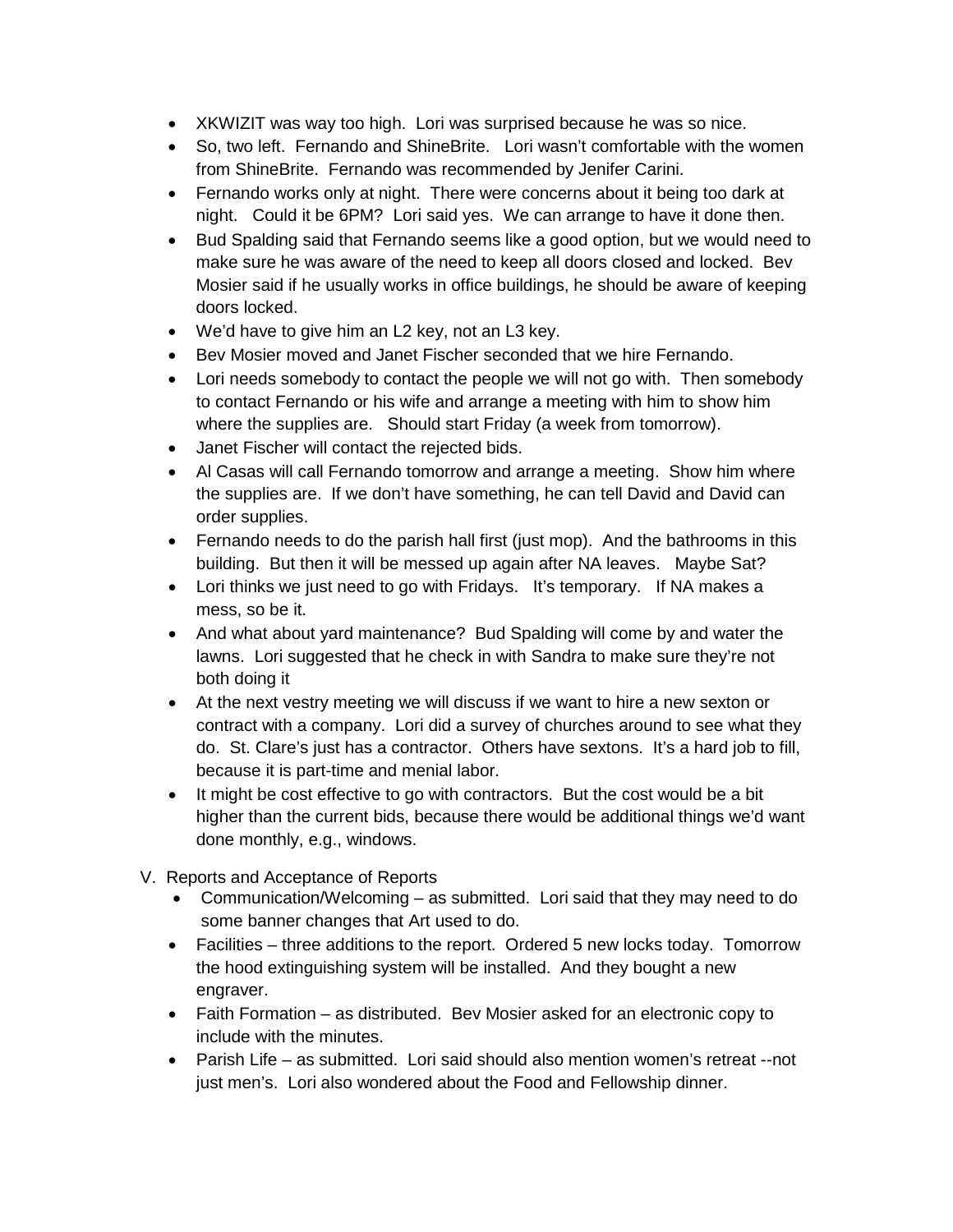- XKWIZIT was way too high. Lori was surprised because he was so nice.
- So, two left. Fernando and ShineBrite. Lori wasn't comfortable with the women from ShineBrite. Fernando was recommended by Jenifer Carini.
- Fernando works only at night. There were concerns about it being too dark at night. Could it be 6PM? Lori said yes. We can arrange to have it done then.
- Bud Spalding said that Fernando seems like a good option, but we would need to make sure he was aware of the need to keep all doors closed and locked. Bev Mosier said if he usually works in office buildings, he should be aware of keeping doors locked.
- We'd have to give him an L2 key, not an L3 key.
- Bev Mosier moved and Janet Fischer seconded that we hire Fernando.
- Lori needs somebody to contact the people we will not go with. Then somebody to contact Fernando or his wife and arrange a meeting with him to show him where the supplies are. Should start Friday (a week from tomorrow).
- Janet Fischer will contact the rejected bids.
- Al Casas will call Fernando tomorrow and arrange a meeting. Show him where the supplies are. If we don't have something, he can tell David and David can order supplies.
- Fernando needs to do the parish hall first (just mop). And the bathrooms in this building. But then it will be messed up again after NA leaves. Maybe Sat?
- Lori thinks we just need to go with Fridays. It's temporary. If NA makes a mess, so be it.
- And what about yard maintenance? Bud Spalding will come by and water the lawns. Lori suggested that he check in with Sandra to make sure they're not both doing it
- At the next vestry meeting we will discuss if we want to hire a new sexton or contract with a company. Lori did a survey of churches around to see what they do. St. Clare's just has a contractor. Others have sextons. It's a hard job to fill, because it is part-time and menial labor.
- It might be cost effective to go with contractors. But the cost would be a bit higher than the current bids, because there would be additional things we'd want done monthly, e.g., windows.
- V. Reports and Acceptance of Reports
	- Communication/Welcoming as submitted. Lori said that they may need to do some banner changes that Art used to do.
	- Facilities three additions to the report. Ordered 5 new locks today. Tomorrow the hood extinguishing system will be installed. And they bought a new engraver.
	- Faith Formation as distributed. Bev Mosier asked for an electronic copy to include with the minutes.
	- Parish Life as submitted. Lori said should also mention women's retreat --not just men's. Lori also wondered about the Food and Fellowship dinner.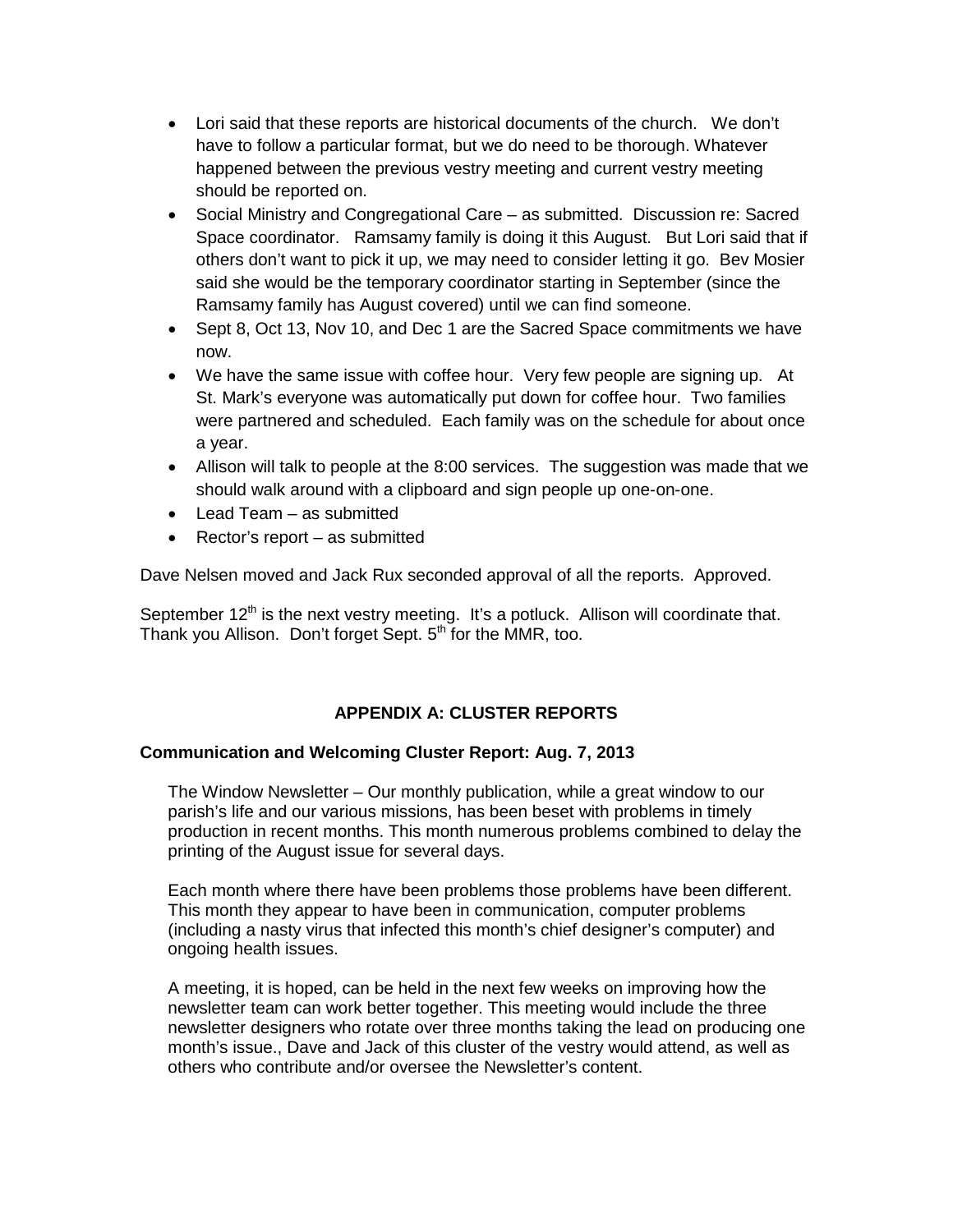- Lori said that these reports are historical documents of the church. We don't have to follow a particular format, but we do need to be thorough. Whatever happened between the previous vestry meeting and current vestry meeting should be reported on.
- Social Ministry and Congregational Care as submitted. Discussion re: Sacred Space coordinator. Ramsamy family is doing it this August. But Lori said that if others don't want to pick it up, we may need to consider letting it go. Bev Mosier said she would be the temporary coordinator starting in September (since the Ramsamy family has August covered) until we can find someone.
- Sept 8, Oct 13, Nov 10, and Dec 1 are the Sacred Space commitments we have now.
- We have the same issue with coffee hour. Very few people are signing up. At St. Mark's everyone was automatically put down for coffee hour. Two families were partnered and scheduled. Each family was on the schedule for about once a year.
- Allison will talk to people at the 8:00 services. The suggestion was made that we should walk around with a clipboard and sign people up one-on-one.
- Lead Team as submitted
- Rector's report as submitted

Dave Nelsen moved and Jack Rux seconded approval of all the reports. Approved.

September  $12<sup>th</sup>$  is the next vestry meeting. It's a potluck. Allison will coordinate that. Thank you Allison. Don't forget Sept. 5<sup>th</sup> for the MMR, too.

# **APPENDIX A: CLUSTER REPORTS**

# **Communication and Welcoming Cluster Report: Aug. 7, 2013**

The Window Newsletter – Our monthly publication, while a great window to our parish's life and our various missions, has been beset with problems in timely production in recent months. This month numerous problems combined to delay the printing of the August issue for several days.

Each month where there have been problems those problems have been different. This month they appear to have been in communication, computer problems (including a nasty virus that infected this month's chief designer's computer) and ongoing health issues.

A meeting, it is hoped, can be held in the next few weeks on improving how the newsletter team can work better together. This meeting would include the three newsletter designers who rotate over three months taking the lead on producing one month's issue., Dave and Jack of this cluster of the vestry would attend, as well as others who contribute and/or oversee the Newsletter's content.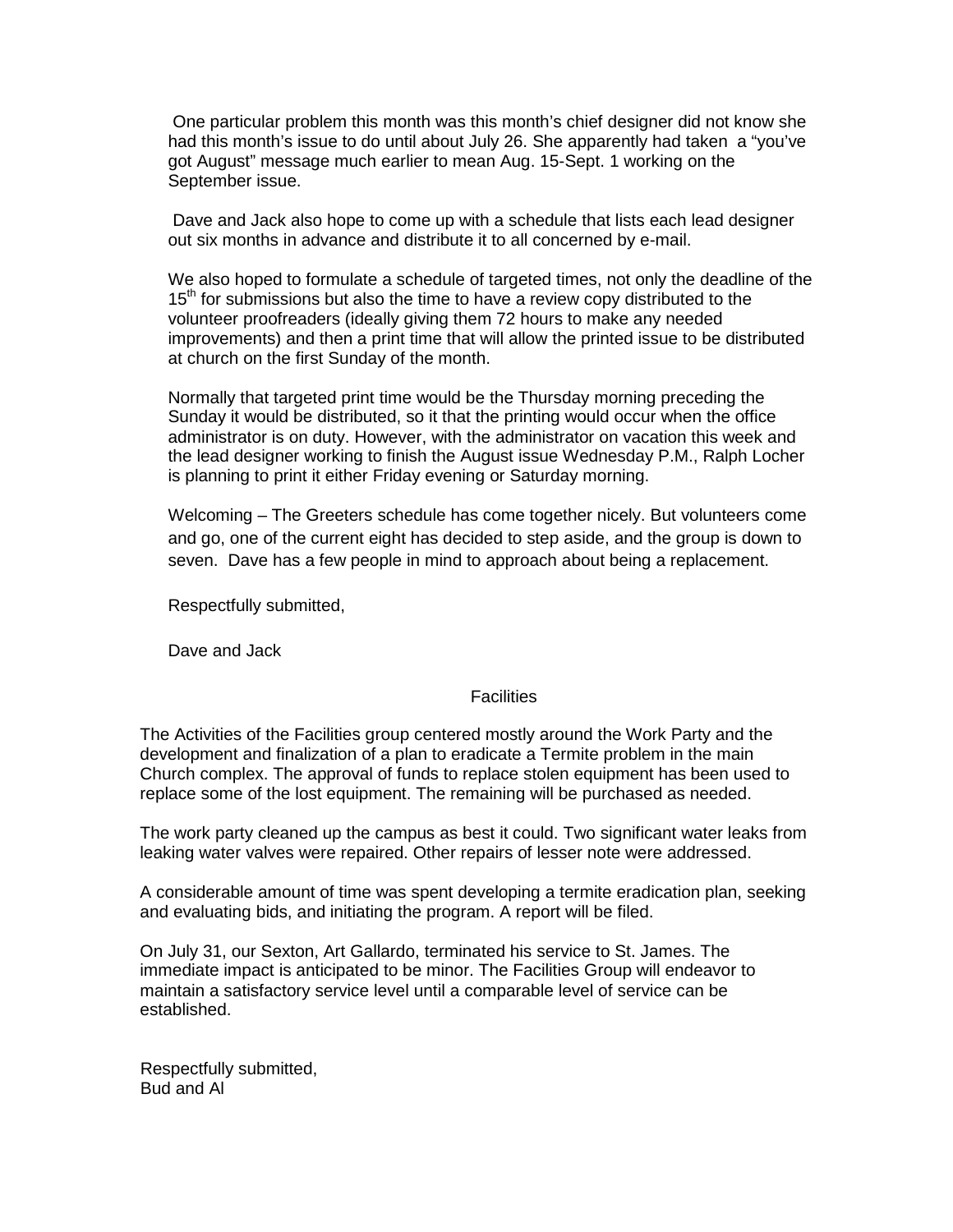One particular problem this month was this month's chief designer did not know she had this month's issue to do until about July 26. She apparently had taken a "you've got August" message much earlier to mean Aug. 15-Sept. 1 working on the September issue.

Dave and Jack also hope to come up with a schedule that lists each lead designer out six months in advance and distribute it to all concerned by e-mail.

We also hoped to formulate a schedule of targeted times, not only the deadline of the 15<sup>th</sup> for submissions but also the time to have a review copy distributed to the volunteer proofreaders (ideally giving them 72 hours to make any needed improvements) and then a print time that will allow the printed issue to be distributed at church on the first Sunday of the month.

Normally that targeted print time would be the Thursday morning preceding the Sunday it would be distributed, so it that the printing would occur when the office administrator is on duty. However, with the administrator on vacation this week and the lead designer working to finish the August issue Wednesday P.M., Ralph Locher is planning to print it either Friday evening or Saturday morning.

Welcoming – The Greeters schedule has come together nicely. But volunteers come and go, one of the current eight has decided to step aside, and the group is down to seven. Dave has a few people in mind to approach about being a replacement.

Respectfully submitted,

Dave and Jack

### **Facilities**

The Activities of the Facilities group centered mostly around the Work Party and the development and finalization of a plan to eradicate a Termite problem in the main Church complex. The approval of funds to replace stolen equipment has been used to replace some of the lost equipment. The remaining will be purchased as needed.

The work party cleaned up the campus as best it could. Two significant water leaks from leaking water valves were repaired. Other repairs of lesser note were addressed.

A considerable amount of time was spent developing a termite eradication plan, seeking and evaluating bids, and initiating the program. A report will be filed.

On July 31, our Sexton, Art Gallardo, terminated his service to St. James. The immediate impact is anticipated to be minor. The Facilities Group will endeavor to maintain a satisfactory service level until a comparable level of service can be established.

Respectfully submitted, Bud and Al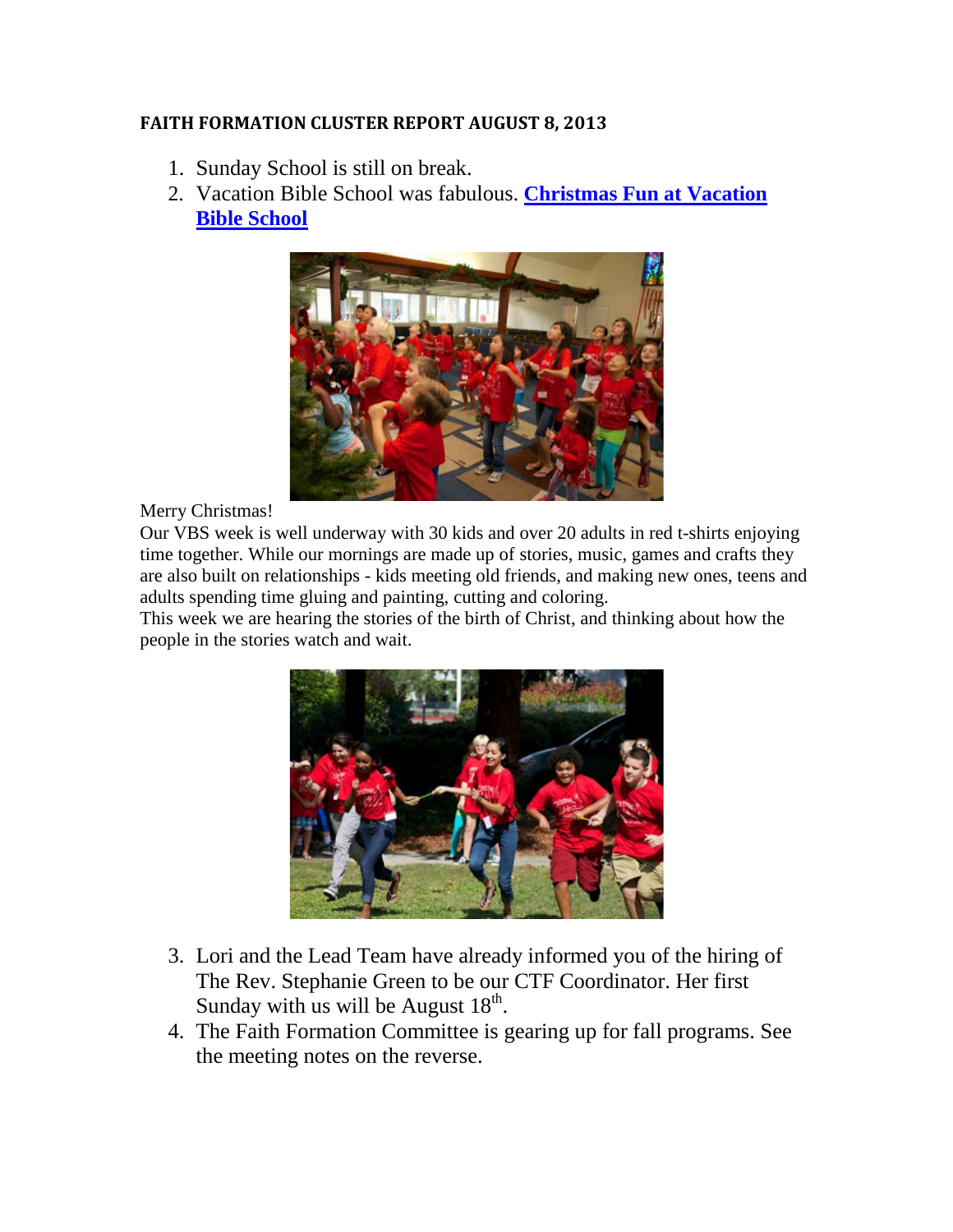# **FAITH FORMATION CLUSTER REPORT AUGUST 8, 2013**

- 1. Sunday School is still on break.
- 2. Vacation Bible School was fabulous. **[Christmas Fun at Vacation](http://saintjkids.blogspot.com/2013/07/christmas-fun-at-vacation-bible-school.html)  [Bible School](http://saintjkids.blogspot.com/2013/07/christmas-fun-at-vacation-bible-school.html)**



## Merry Christmas!

Our VBS week is well underway with 30 kids and over 20 adults in red t-shirts enjoying time together. While our mornings are made up of stories, music, games and crafts they are also built on relationships - kids meeting old friends, and making new ones, teens and adults spending time gluing and painting, cutting and coloring.

This week we are hearing the stories of the birth of Christ, and thinking about how the people in the stories watch and wait.



- 3. Lori and the Lead Team have already informed you of the hiring of The Rev. Stephanie Green to be our CTF Coordinator. Her first Sunday with us will be August  $18<sup>th</sup>$ .
- 4. The Faith Formation Committee is gearing up for fall programs. See the meeting notes on the reverse.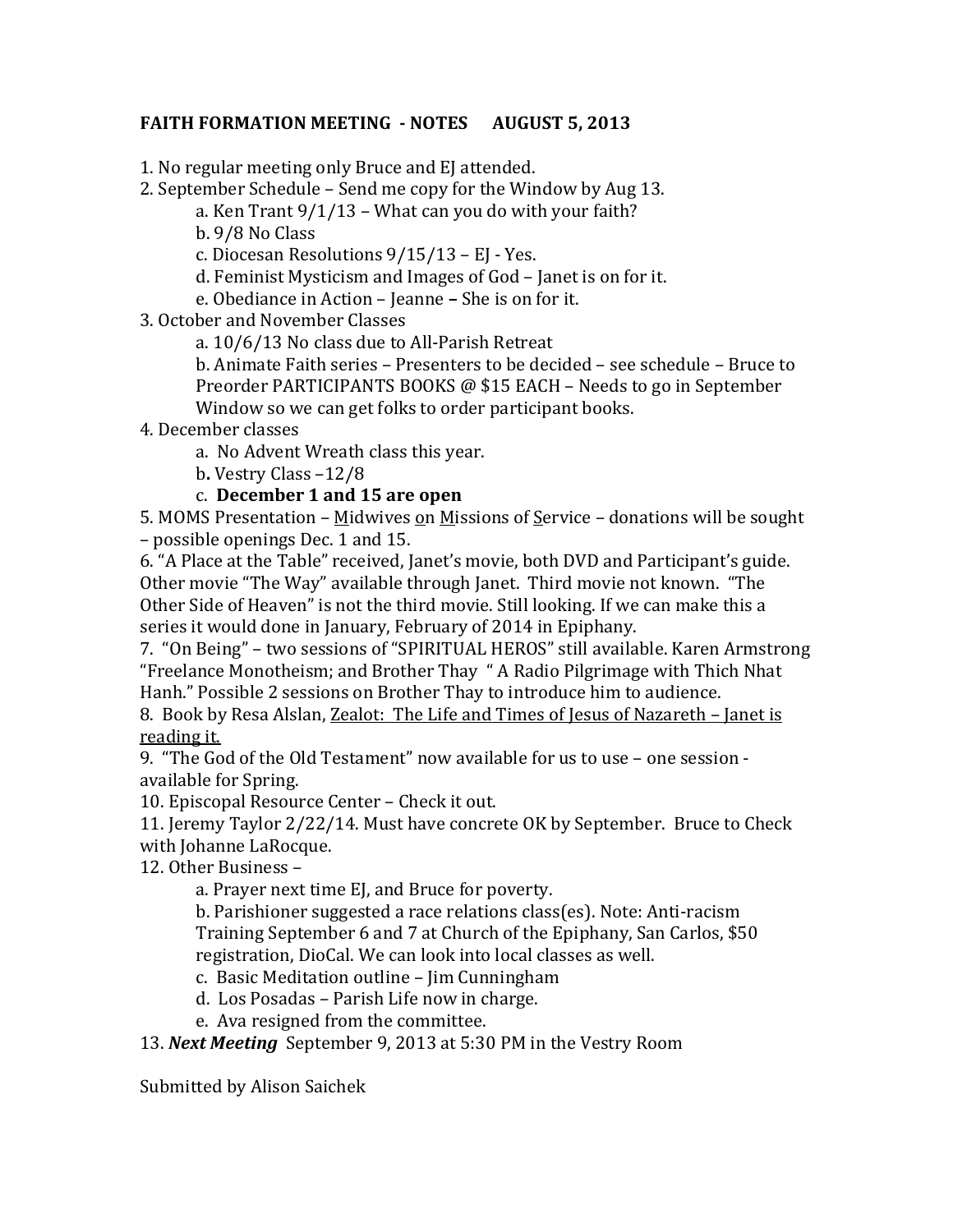# **FAITH FORMATION MEETING - NOTES AUGUST 5, 2013**

1. No regular meeting only Bruce and EJ attended.

2. September Schedule – Send me copy for the Window by Aug 13.

a. Ken Trant 9/1/13 – What can you do with your faith?

b. 9/8 No Class

c. Diocesan Resolutions 9/15/13 – EJ - Yes.

d. Feminist Mysticism and Images of God – Janet is on for it.

e. Obediance in Action – Jeanne **–** She is on for it.

3. October and November Classes

a. 10/6/13 No class due to All-Parish Retreat

b. Animate Faith series – Presenters to be decided – see schedule – Bruce to Preorder PARTICIPANTS BOOKS @ \$15 EACH – Needs to go in September Window so we can get folks to order participant books.

4. December classes

- a. No Advent Wreath class this year.
- b**.** Vestry Class –12/8

# c. **December 1 and 15 are open**

5. MOMS Presentation – Midwives on Missions of Service – donations will be sought – possible openings Dec. 1 and 15.

6. "A Place at the Table" received, Janet's movie, both DVD and Participant's guide. Other movie "The Way" available through Janet. Third movie not known. "The Other Side of Heaven" is not the third movie. Still looking. If we can make this a series it would done in January, February of 2014 in Epiphany.

7. "On Being" – two sessions of "SPIRITUAL HEROS" still available. Karen Armstrong "Freelance Monotheism; and Brother Thay " A Radio Pilgrimage with Thich Nhat Hanh." Possible 2 sessions on Brother Thay to introduce him to audience.

8. Book by Resa Alslan, Zealot: The Life and Times of Jesus of Nazareth – Janet is reading it.

9. "The God of the Old Testament" now available for us to use – one session available for Spring.

10. Episcopal Resource Center – Check it out.

11. Jeremy Taylor 2/22/14. Must have concrete OK by September. Bruce to Check with Johanne LaRocque.

12. Other Business –

a. Prayer next time EJ, and Bruce for poverty.

b. Parishioner suggested a race relations class(es). Note: Anti-racism Training September 6 and 7 at Church of the Epiphany, San Carlos, \$50 registration, DioCal. We can look into local classes as well.

- c. Basic Meditation outline Jim Cunningham
- d. Los Posadas Parish Life now in charge.
- e. Ava resigned from the committee.

13. *Next Meeting* September 9, 2013 at 5:30 PM in the Vestry Room

Submitted by Alison Saichek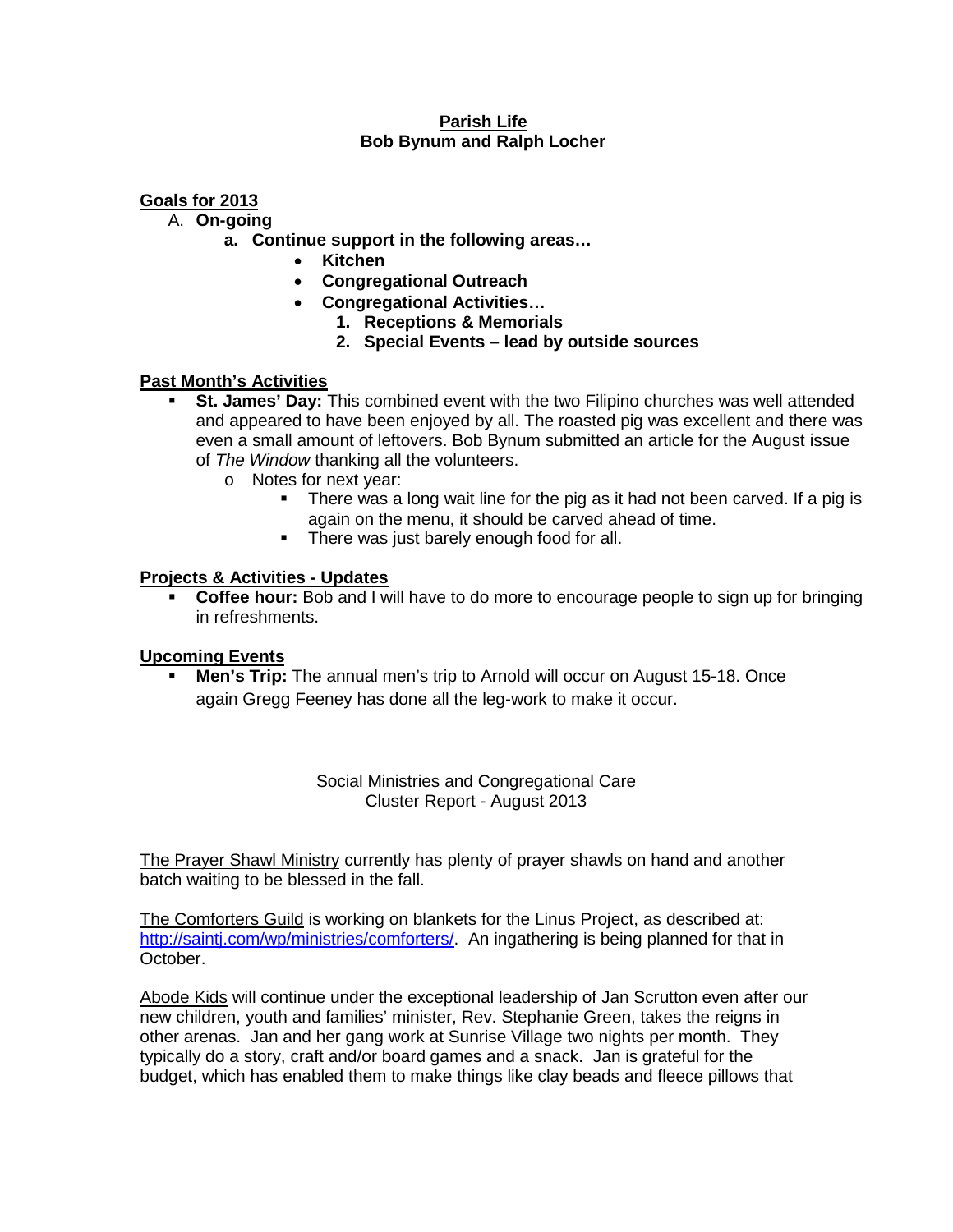## **Parish Life Bob Bynum and Ralph Locher**

## **Goals for 2013**

A. **On-going**

- **a. Continue support in the following areas…**
	- **Kitchen**
	- **Congregational Outreach**
	- **Congregational Activities…**
		- **1. Receptions & Memorials**
		- **2. Special Events – lead by outside sources**

## **Past Month's Activities**

- **St. James' Day:** This combined event with the two Filipino churches was well attended and appeared to have been enjoyed by all. The roasted pig was excellent and there was even a small amount of leftovers. Bob Bynum submitted an article for the August issue of *The Window* thanking all the volunteers.
	- o Notes for next year:
		- There was a long wait line for the pig as it had not been carved. If a pig is again on the menu, it should be carved ahead of time.
		- **There was just barely enough food for all.**

## **Projects & Activities - Updates**

**Coffee hour:** Bob and I will have to do more to encourage people to sign up for bringing in refreshments.

### **Upcoming Events**

 **Men's Trip:** The annual men's trip to Arnold will occur on August 15-18. Once again Gregg Feeney has done all the leg-work to make it occur.

> Social Ministries and Congregational Care Cluster Report - August 2013

The Prayer Shawl Ministry currently has plenty of prayer shawls on hand and another batch waiting to be blessed in the fall.

The Comforters Guild is working on blankets for the Linus Project, as described at: [http://saintj.com/wp/ministries/comforters/.](http://saintj.com/wp/ministries/comforters/) An ingathering is being planned for that in October.

Abode Kids will continue under the exceptional leadership of Jan Scrutton even after our new children, youth and families' minister, Rev. Stephanie Green, takes the reigns in other arenas. Jan and her gang work at Sunrise Village two nights per month. They typically do a story, craft and/or board games and a snack. Jan is grateful for the budget, which has enabled them to make things like clay beads and fleece pillows that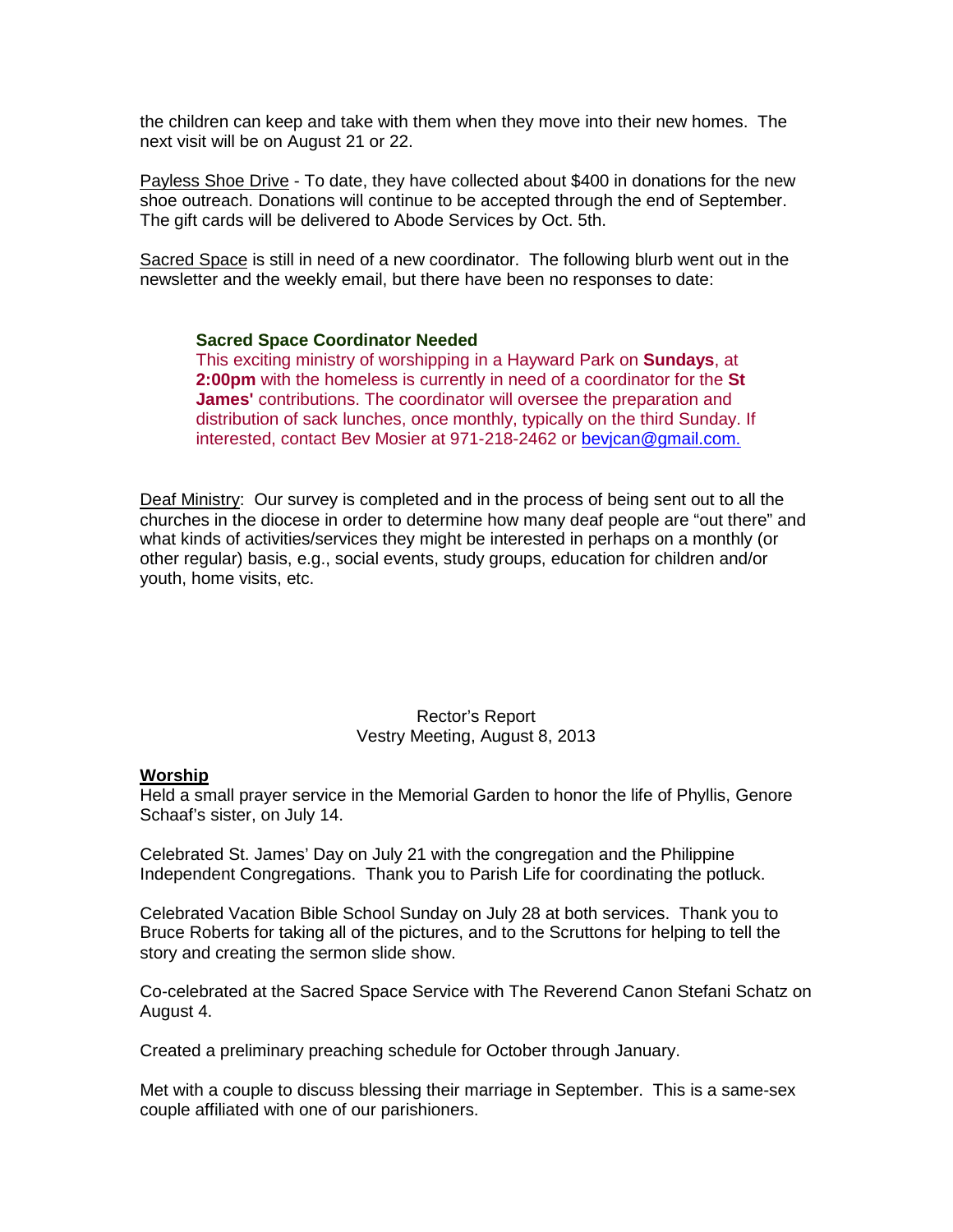the children can keep and take with them when they move into their new homes. The next visit will be on August 21 or 22.

Payless Shoe Drive - To date, they have collected about \$400 in donations for the new shoe outreach. Donations will continue to be accepted through the end of September. The gift cards will be delivered to Abode Services by Oct. 5th.

Sacred Space is still in need of a new coordinator. The following blurb went out in the newsletter and the weekly email, but there have been no responses to date:

#### **Sacred Space Coordinator Needed**

This exciting ministry of worshipping in a Hayward Park on **Sundays**, at **2:00pm** with the homeless is currently in need of a coordinator for the **St James'** contributions. The coordinator will oversee the preparation and distribution of sack lunches, once monthly, typically on the third Sunday. If interested, contact Bev Mosier at 971-218-2462 or [bevjcan@gmail.com.](mailto:bevjcan@gmail.com) 

Deaf Ministry: Our survey is completed and in the process of being sent out to all the churches in the diocese in order to determine how many deaf people are "out there" and what kinds of activities/services they might be interested in perhaps on a monthly (or other regular) basis, e.g., social events, study groups, education for children and/or youth, home visits, etc.

### Rector's Report Vestry Meeting, August 8, 2013

#### **Worship**

Held a small prayer service in the Memorial Garden to honor the life of Phyllis, Genore Schaaf's sister, on July 14.

Celebrated St. James' Day on July 21 with the congregation and the Philippine Independent Congregations. Thank you to Parish Life for coordinating the potluck.

Celebrated Vacation Bible School Sunday on July 28 at both services. Thank you to Bruce Roberts for taking all of the pictures, and to the Scruttons for helping to tell the story and creating the sermon slide show.

Co-celebrated at the Sacred Space Service with The Reverend Canon Stefani Schatz on August 4.

Created a preliminary preaching schedule for October through January.

Met with a couple to discuss blessing their marriage in September. This is a same-sex couple affiliated with one of our parishioners.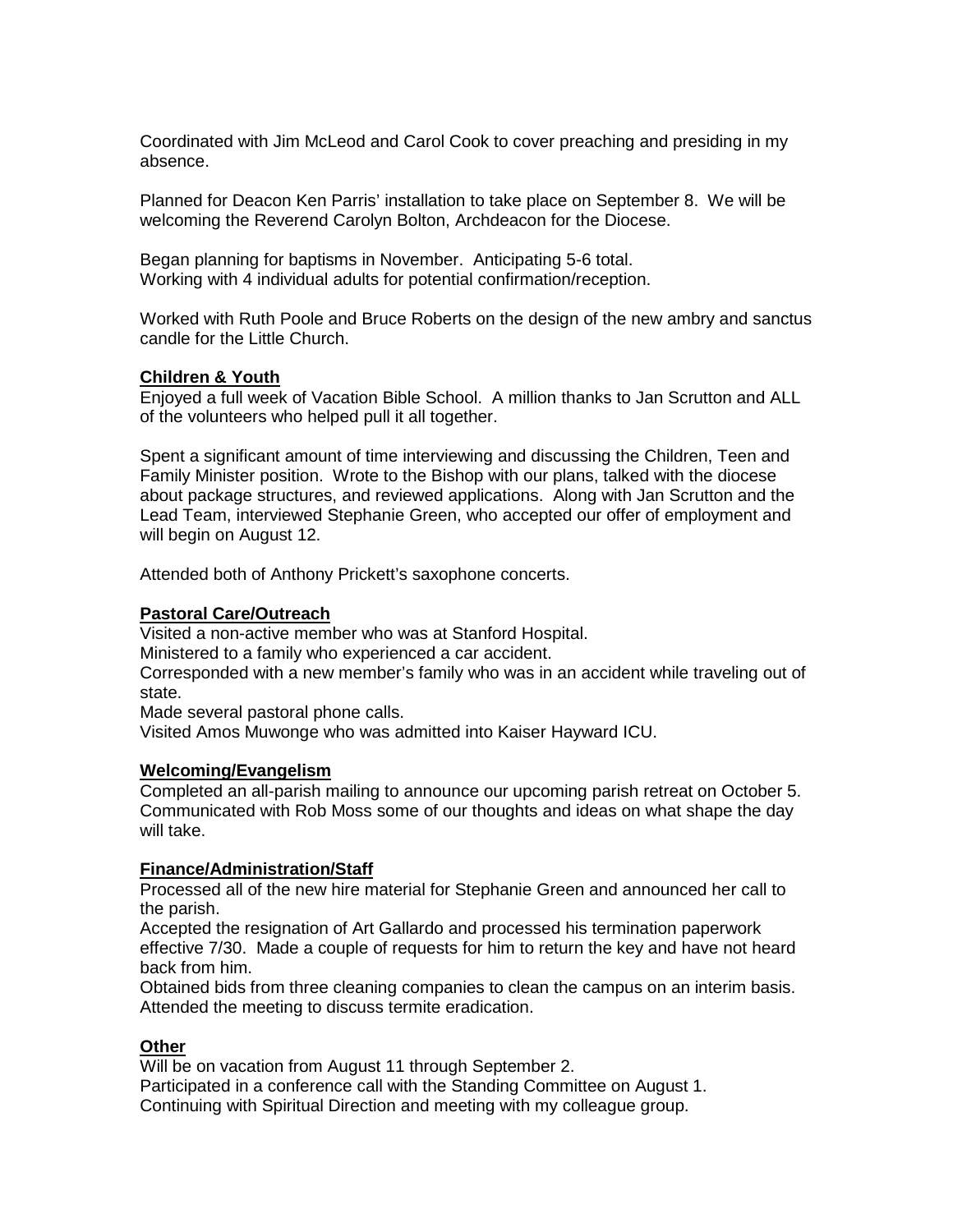Coordinated with Jim McLeod and Carol Cook to cover preaching and presiding in my absence.

Planned for Deacon Ken Parris' installation to take place on September 8. We will be welcoming the Reverend Carolyn Bolton, Archdeacon for the Diocese.

Began planning for baptisms in November. Anticipating 5-6 total. Working with 4 individual adults for potential confirmation/reception.

Worked with Ruth Poole and Bruce Roberts on the design of the new ambry and sanctus candle for the Little Church.

#### **Children & Youth**

Enjoyed a full week of Vacation Bible School. A million thanks to Jan Scrutton and ALL of the volunteers who helped pull it all together.

Spent a significant amount of time interviewing and discussing the Children, Teen and Family Minister position. Wrote to the Bishop with our plans, talked with the diocese about package structures, and reviewed applications. Along with Jan Scrutton and the Lead Team, interviewed Stephanie Green, who accepted our offer of employment and will begin on August 12.

Attended both of Anthony Prickett's saxophone concerts.

#### **Pastoral Care/Outreach**

Visited a non-active member who was at Stanford Hospital.

Ministered to a family who experienced a car accident.

Corresponded with a new member's family who was in an accident while traveling out of state.

Made several pastoral phone calls.

Visited Amos Muwonge who was admitted into Kaiser Hayward ICU.

#### **Welcoming/Evangelism**

Completed an all-parish mailing to announce our upcoming parish retreat on October 5. Communicated with Rob Moss some of our thoughts and ideas on what shape the day will take.

#### **Finance/Administration/Staff**

Processed all of the new hire material for Stephanie Green and announced her call to the parish.

Accepted the resignation of Art Gallardo and processed his termination paperwork effective 7/30. Made a couple of requests for him to return the key and have not heard back from him.

Obtained bids from three cleaning companies to clean the campus on an interim basis. Attended the meeting to discuss termite eradication.

#### **Other**

Will be on vacation from August 11 through September 2.

Participated in a conference call with the Standing Committee on August 1. Continuing with Spiritual Direction and meeting with my colleague group.